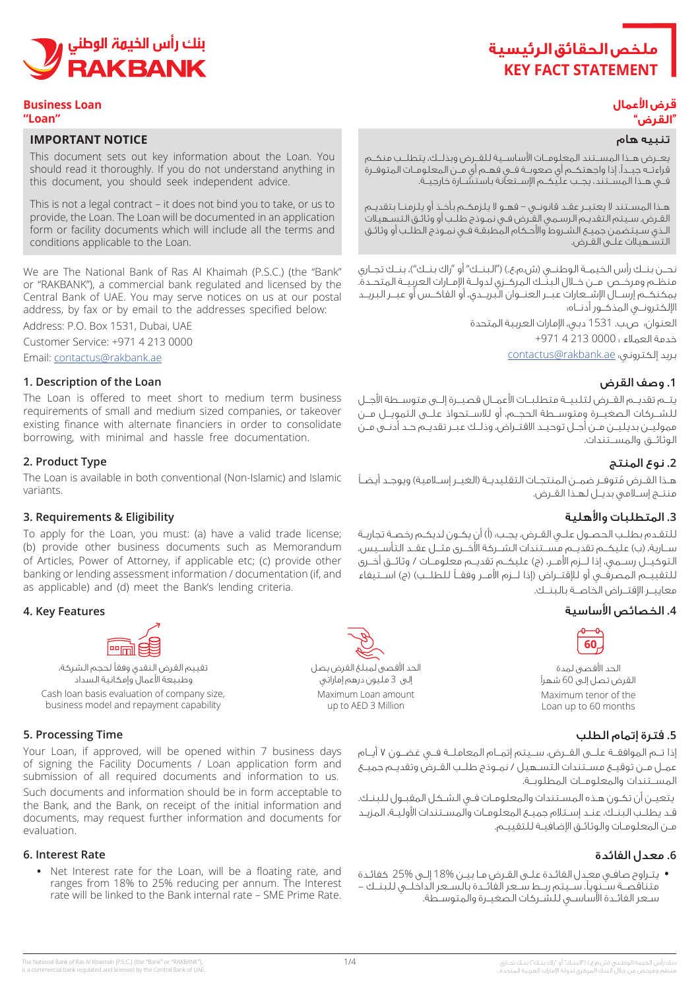

#### **Business Loan "Loan"**

### **IMPORTANT NOTICE**

This document sets out key information about the Loan. You should read it thoroughly. If you do not understand anything in this document, you should seek independent advice.

This is not a legal contract – it does not bind you to take, or us to provide, the Loan. The Loan will be documented in an application form or facility documents which will include all the terms and conditions applicable to the Loan.

We are The National Bank of Ras Al Khaimah (P.S.C.) (the "Bank" or "RAKBANK"), a commercial bank regulated and licensed by the Central Bank of UAE. You may serve notices on us at our postal address, by fax or by email to the addresses specified below:

Address: P.O. Box 1531, Dubai, UAE

Customer Service: +971 4 213 0000

Email: contactus@rakbank.ae

### **1. Description of the Loan**

The Loan is offered to meet short to medium term business requirements of small and medium sized companies, or takeover existing finance with alternate financiers in order to consolidate borrowing, with minimal and hassle free documentation.

### **2. Product Type**

The Loan is available in both conventional (Non-Islamic) and Islamic .variants

### **Eligibility & Requirements 3.**

To apply for the Loan, you must: (a) have a valid trade license; (b) provide other business documents such as Memorandum of Articles, Power of Attorney, if applicable etc; (c) provide other banking or lending assessment information / documentation (if, and as applicable) and (d) meet the Bank's lending criteria.

### **4. Key Features**



وطبيعة اعمال وإمكانية السداد Cash loan basis evaluation of company size. business model and repayment capability

### **5. Processing Time**

Your Loan, if approved, will be opened within 7 business days of signing the Facility Documents / Loan application form and submission of all required documents and information to us. Such documents and information should be in form acceptable to the Bank, and the Bank, on receipt of the initial information and documents, may request further information and documents for .evaluation

### **6.** Interest Rate

• Net Interest rate for the Loan, will be a floating rate, and ranges from 18% to 25% reducing per annum. The Interest rate will be linked to the Bank internal rate – SME Prime Rate.



## **قرض األعمال "القرض"**

### تنبيه هام

يعــرض هــذا المســتند المعلومــات األساســية للقــرض وبذلــك، يتطلــب منكــم قراءتــه جيــدًا. إذا واجهتكــم أي صعوبــة فــي فهــم أي مــن المعلومــات المتوفــرة فــي هــذا المســتند، يجــب عليكــم اإلســتعانة باستشــارة خارجيــة.

هــذا المســتند ال يعتبــر عقــد قانونــي – فهــو ال يلزمكــم بأخــذ أو يلزمنــا بتقديــم القـرض. سـيتم التقديـم الرسـمي القـرض فـي نمـوذج طلـب أو وثائـق التسـهيالت الـذي سـيتضمن جميـع الشـروط واألحـكام المطبقـة فـي نمـوذج الطلـب أو وثائـق التسـهيالت علـى القـرض.

نحــن بنــك رأس الخيمــة الـوطنــى (ش.م.ع.) ("البنــك" أو "راك بنــك")، بنــك تجــارى منظــم ومرخــص مــن خــال البنــك المركــزي لدولــة اإلمــارات العربيــة المتحــدة. يمكنكــم إرســال اإلشــعارات عبــر العنــوان البريــدي، أو الفاكــس أو عبــر البريــد اإللكترونــي المذكــور أدنــاه:

العنوان: ص.ب. 1531 دبي، اإلمارات العربية المتحدة

خدمة العمالء : 0000 213 4 +971

بريد إلكتروني: contactus@rakbank.ae

### **.1** وصف القرض

يتــم تقديــم القــرض لتلبيــة متطلبــات األعمــال قصيــرة إلــى متوســطة األجــل للشــركات الصغيــرة ومتوســطة الحجــم، أو لالســتحواذ علــى التمويــل مــن مموليــن بديليــن مــن أجــل توحيــد االقتــراض، وذلــك عبــر تقديــم حــد أدنــى مــن الوثائــق والمســتندات.

### **.2** نوع المنتج

هـذا القـرض مُتوفـر ضمـن المنتجـات التقليديــة (الغيــر إســلامية) ويوجـد أيضـاً منتــج إســامي بديــل لهــذا القــرض.

### **.3** المتطلبات واألهلية

للتقـدم بطلـب الحصـول علـي القـرض، يجـب: )أ( أن يكـون لديكـم رخصـة تجاريـة ســارية، (ب) عليكــم تقديــم مســتندات الشــركة الأخــرى مثــل عقــد التأســيس، التوكيــل رســمي، إذا لـــزم الأمــر، (ج) عليكــم تقديــم معلومــات / وثائــق أخــرى للتقييــم المصرفــي أو لإلقتــراض )إذا لــزم األمــر وفقــً للطلــب( )ج( اســتيفاء معاييــر اإلقتــراض الخاصــة بالبنــك.

### **.4** الخصائص األساسية



الحد اقصى لمدة القرض تصل إلى 60 شهر Maximum tenor of the Loan up to 60 months

# **.5** فترة إتمام الطلب

إذا تــم الموافقــة علــى القــرض، ســيتم إتمــام المعاملــة فــي غضــون 7 أيــام عمــل مــن توقيــع مســتندات التســهيل / نمــوذج طلــب القــرض وتقديــم جميــع المســتندات والمعلومــات المطلوبــة.

 يتعيـن أن تكـون هـذه المسـتندات والمعلومـات فـي الشـكل المقبـول للبنـك. قـد يطلـب البنـك، عنـد إسـتالم جميـع المعلومـات والمسـتندات األوليـة، المزيـد مـن المعلومـات والوثائـق اإلضافيـة للتقييـم.

### **.6** معدل الفائدة

**•** يتـراوح صافـي معـدل الفائـدة علـى القـرض مـا بيـن 18% إلـى 25% كفائـدة متناقصــة ســنويًا. ســيتم ربــط ســعر الفائــدة بالســعر الداخلــي للبنــك - ســعر الفائــدة األساســي للشــركات الصغيــرة والمتوســطة.

الحد اقصى لمبلغ القرض يصل إلى 3 مليون درهم إماراتي

Maximum Loan amount up to AED 3 Million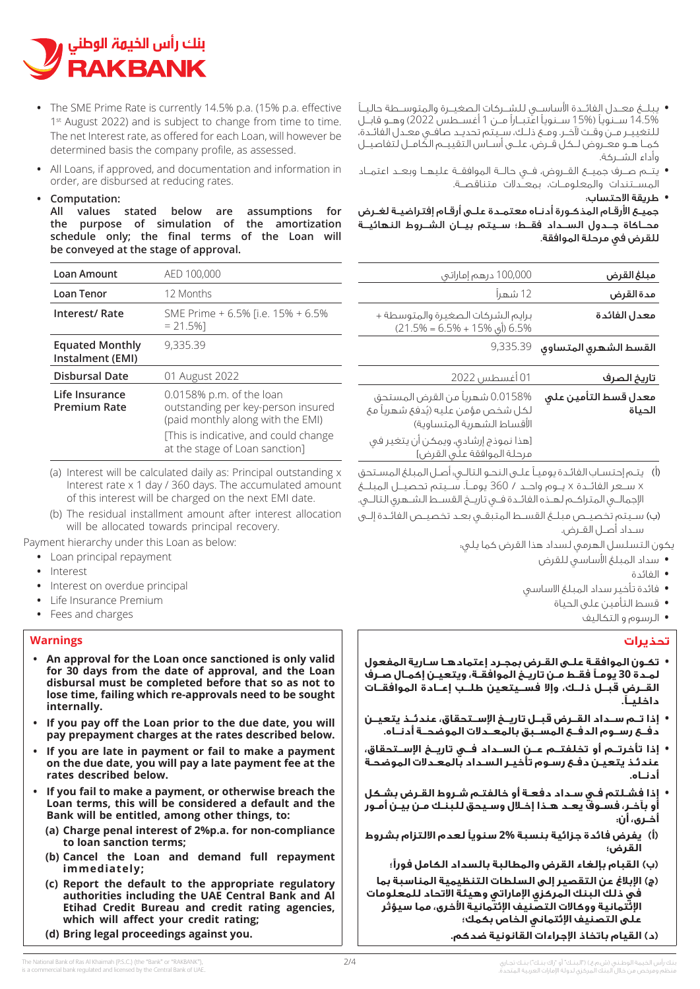

- **•** The SME Prime Rate is currently 14.5% p.a. (15% p.a. effective  $1<sup>st</sup>$  August 2022) and is subject to change from time to time. The net Interest rate, as offered for each Loan, will however be determined basis the company profile, as assessed.
- All Loans, if approved, and documentation and information in order, are disbursed at reducing rates.

### **:Computation•**

All values stated below are assumptions for the purpose of simulation of the amortization schedule only; the final terms of the Loan will be conveyed at the stage of approval.

| Loan Amount                                | AED 100,000                                                                                                                                                                    |
|--------------------------------------------|--------------------------------------------------------------------------------------------------------------------------------------------------------------------------------|
| Loan Tenor                                 | 12 Months                                                                                                                                                                      |
| Interest/ Rate                             | SME Prime + 6.5% [i.e. 15% + 6.5%<br>$= 21.5%$                                                                                                                                 |
| <b>Equated Monthly</b><br>Instalment (EMI) | 9,335.39                                                                                                                                                                       |
| <b>Disbursal Date</b>                      | 01 August 2022                                                                                                                                                                 |
| Life Insurance<br><b>Premium Rate</b>      | 0.0158% p.m. of the loan<br>outstanding per key-person insured<br>(paid monthly along with the EMI)<br>[This is indicative, and could change<br>at the stage of Loan sanction] |

- (a) Interest will be calculated daily as: Principal outstanding x Interest rate x 1 day / 360 days. The accumulated amount of this interest will be charged on the next EMI date.
- (b) The residual installment amount after interest allocation will be allocated towards principal recovery.

Payment hierarchy under this Loan as below:

- Loan principal repayment
- Interest**•**
- Interest on overdue principal
- **Life Insurance Premium**
- Fees and charges

### **Warnings**

- An approval for the Loan once sanctioned is only valid for 30 days from the date of approval, and the Loan disbursal must be completed before that so as not to lose time, failing which re-approvals need to be sought **.internally**
- If you pay off the Loan prior to the due date, you will pay prepayment charges at the rates described below.
- If you are late in payment or fail to make a payment on the due date, you will pay a late payment fee at the rates described below.
- **If you fail to make a payment, or otherwise breach the Loan terms, this will be considered a default and the** Bank will be entitled, among other things, to:
	- **(a) Charge penal interest of 2% p.a. for non-compliance** to loan sanction terms;
	- (b) Cancel the Loan and demand full repayment **;immediately**
	- **(c)** Report the default to the appropriate regulatory authorities including the UAE Central Bank and Al **Etihad Credit Bureau and credit rating agencies,** which will affect your credit rating;
	- **(d) Bring legal proceedings against you.**
- **•** يبلــغ معــدل الفائــدة األساســي للشــركات الصغيــرة والمتوســطة حاليــً 14.5% ســنويًا )15% ســنويًا اعتبــارًا مــن 1 أغســطس 2022( وهــو قابــل للتغييــر مــن وقــت آلخــر. ومــع ذلــك، ســيتم تحديــد صافــي معــدل الفائــدة، كمــا هــو معــروض لــكل قــرض، علــى أســاس التقييــم الكامــل لتفاصيــل وأداء الشــركة.
- **•** يتــم صــرف جميــع القــروض، فــي حالــة الموافقــة عليهــا وبعــد اعتمــاد المســتندات والمعلومــات، بمعــدالت متناقصــة.
	- **•** طريقة االحتساب:

جميـع األرقـام المذكـورة أدنـاه معتمـدة علـى أرقـام إفتراضيـة لغـرض محــاكاة جــدول الســداد فقــط؛ ســيتم بيــان الشــروط النهائيــة للقرض في مرحلة الموافقة.

| مبلغ القرض                       | 100,000 درهم إماراتي                                              |
|----------------------------------|-------------------------------------------------------------------|
| مدة القرض                        | 12 شهراً                                                          |
| معدل الفائدة                     | برايم الشركات الصغيرة والمتوسطة +<br>6.5% (أي 15% + 6.5% = 21.5%) |
| $9,335.39$ القسط الشهرى المتساوى |                                                                   |

| تاريخ الصرف          | 01 أغسطس 2022                        |
|----------------------|--------------------------------------|
| معدل قسط التأمين على | 0.0158% شهرياً من القرض المستحق      |
| الحياة               | لكل شخص مؤمن عليه (يُدفعَ شهرياً مع  |
|                      | الأقساط الشهرية المتساوية)           |
|                      | [هذا نموذج إرشادي، ويمكن أن يتغير في |
|                      | مرحلة الموافقة علَى القرض]           |

- (أ يتـم إحتسـاب الفائـدة يوميـً علـى النحـو التالـي: أصـل المبلغ المسـتحق x ســعر الفائــدة x يــوم واحــد / 360 يومــ.ً ســيتم تحصيــل المبلــغ اإلجمالــي المتراكــم لهــذه الفائــدة فــي تاريــخ القســط الشــهري التالــي.
- (ب)ســيتم تخصيــص مبلــغ القســط المتبقــي بعــد تخصيــص الفائــدة إلــى سـداد أصـل القـرض.

يكون التسلسل الهرمي لسداد هذا القرض كما يلي:

- **•** سداد المبلغ األساسي للقرض
	- **•** الفائدة
- **•** فائدة تأخير سداد المبلغ االساسي
	- **•** قسط التأمين على الحياة
		- **•** الرسوم و التكاليف

### **تحذيرات**

- **• تكـون الموافقـة علـى القـرض بمجـرد إعتمادهـا سـارية المفعول لمـدة 30 يومـً فقـط مـن تاريـخ الموافقـة، ويتعيـن إكمـال صـرف القــرض قبــل ذلــك، وإال فســيتعين طلــب إعــادة الموافقــات داخليــ.ً**
- **• إذا تــم ســداد القــرض قبــل تاريــخ اإلســتحقاق، عندئــذ يتعيــن دفــع رســوم الدفــع المســبق بالمعــدالت الموضحــة أدنــاه.**
- **• إذا تأخرتــم أو تخلفتــم عــن الســداد فــي تاريــخ اإلســتحقاق، عندئـذ يتعيـن دفـع رسـوم تأخيـر السـداد بالمعـدالت الموضحـة أدنــاه.**
- **• إذا فشـلتم فـي سـداد دفعـة أو خالفتـم شـروط القـرض بشـكل أو بآخـر، فسـوف يعـد هـذا إخـال وسـيحق للبنـك مـن بيـن أمـور أخـرى، أن:**
- **(أ يفرض فائدة جزائية بنسبة 2% سنويًا لعدم االلتزام بشروط القرض؛**
	- **(ب) القبام بإلغاء القرض والمطالبة بالسداد الكامل فورًا؛**
- **(ج)اإلبالغ عن التقصير إلى السلطات التنظيمية المناسبة بما في ذلك البنك المركزي اإلماراتي وهيئة االتحاد للمعلومات اإلئتمانية ووكاالت التصنيف اإلئتمانية األخرى، مما سيؤثر على التصنيف اإلئتماني الخاص بكمك؛**
	- **(د)القيام باتخاذ اإلجراءات القانونية ضدكم.**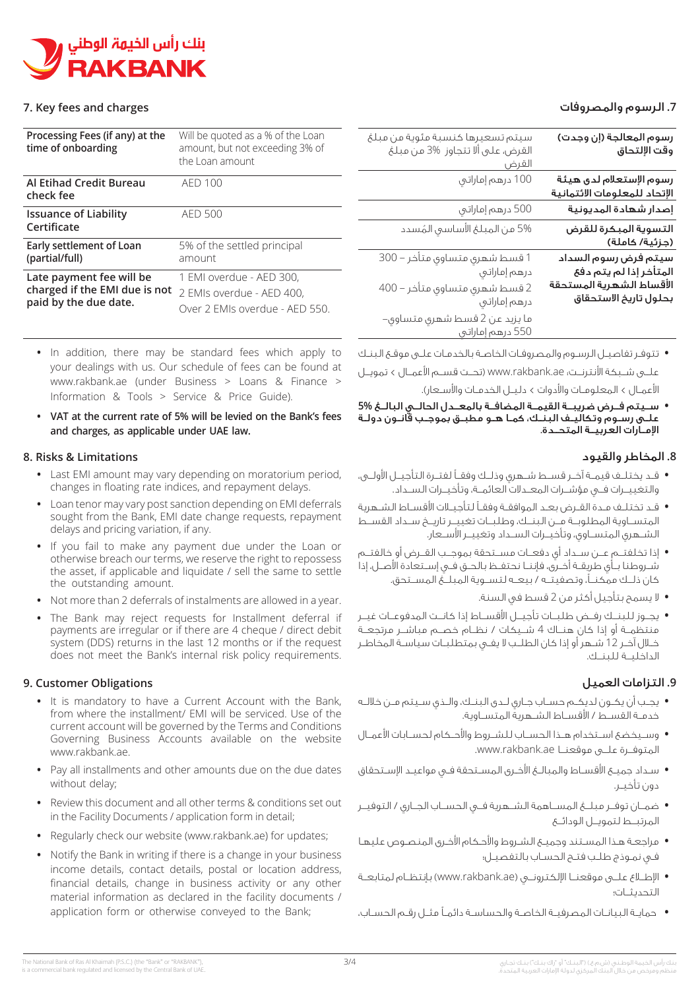

### **7. Key fees and charges**

| Processing Fees (if any) at the<br>time of onboarding                              | Will be quoted as a % of the Loan<br>amount, but not exceeding 3% of<br>the Loan amount |
|------------------------------------------------------------------------------------|-----------------------------------------------------------------------------------------|
| Al Etihad Credit Bureau<br>check fee                                               | AED 100                                                                                 |
| <b>Issuance of Liability</b><br>Certificate                                        | AED 500                                                                                 |
| Early settlement of Loan<br>(partial/full)                                         | 5% of the settled principal<br>amount                                                   |
| Late payment fee will be<br>charged if the EMI due is not<br>paid by the due date. | 1 EMI overdue - AED 300.<br>2 EMIs overdue - AED 400.<br>Over 2 EMIs overdue - AED 550. |

- In addition, there may be standard fees which apply to your dealings with us. Our schedule of fees can be found at www.rakbank.ae (under Business > Loans & Finance > Information & Tools  $>$  Service & Price Guide).
- VAT at the current rate of 5% will be levied on the Bank's fees and charges, as applicable under UAE law.

### **Limitations & Risks 8.**

- Last EMI amount may vary depending on moratorium period. changes in floating rate indices, and repayment delays.
- Loan tenor may vary post sanction depending on EMI deferrals sought from the Bank, EMI date change requests, repayment delays and pricing variation, if any.
- If you fail to make any payment due under the Loan or otherwise breach our terms, we reserve the right to repossess the asset, if applicable and liquidate  $\ell$  sell the same to settle the outstanding amount.
- Not more than 2 deferrals of instalments are allowed in a year.
- The Bank may reject requests for Installment deferral if payments are irregular or if there are 4 cheque / direct debit system (DDS) returns in the last 12 months or if the request does not meet the Bank's internal risk policy requirements.

### **9. Customer Obligations**

- It is mandatory to have a Current Account with the Bank, from where the installment/ EMI will be serviced. Use of the current account will be governed by the Terms and Conditions Governing Business Accounts available on the website www.rakbank.ae.
- Pay all installments and other amounts due on the due dates without delay;
- Review this document and all other terms & conditions set out in the Facility Documents / application form in detail;
- Regularly check our website (www.rakbank.ae) for updates;
- Notify the Bank in writing if there is a change in your business income details, contact details, postal or location address, financial details, change in business activity or any other material information as declared in the facility documents / application form or otherwise conveyed to the Bank;

# **.7** الرسوم والمصروفات

| رسوم المعالجة (إن وجدت)<br>وقت الإلتحاق                                                             | سيتم تسعيرها كنسبة مئوية من مبلغ<br>القرض، على ألا تتجاوز %3 من مبلغ<br>القرض                                |
|-----------------------------------------------------------------------------------------------------|--------------------------------------------------------------------------------------------------------------|
| رسوم الإستعلام لدى هيئة<br>الإتحاد للمعلومات الائتمانية                                             | 100 درهم إماراتني                                                                                            |
| إصدار شهادة المديونية                                                                               | 500 درهم إماراتني                                                                                            |
| التسوية المبكرة للقرض<br>(جزئية/ كاملة)                                                             | 5% من المبلغ الأساسي المُسدد                                                                                 |
| سيتم فرض رسوم السداد<br>المتأخر إذا لم يتم دفع<br>الأقساط الشهرية المستحقة<br>بحلول تاريخ الاستحقاق | 1 قسط شهري متساوي متأخر – 300<br>درهم إماراتني أأنسمت أأنسب<br>2 قسط شهري متساوي متأخر – 400<br>درهم إماراتي |
|                                                                                                     | ما يزيد عن 2 قسط شهري متساوي–<br>550 درهم إماراتبي                                                           |

**•** تتوفـر تفاصيـل الرسـوم والمصروفـات الخاصـة بالخدمـات علـى موقـع البنـك علــى شــبكة األنترنــت: ae.rakbank.www( تحــت قســم األعمــال < تمويــل

الأعمـال > المعلومـات والأدوات > دليـل الخدمـات والأسـعار).

**•** ســيتم فــرض ضريبــة القيمــة المضافــة بالمعــدل الحالــي البالــغ **5%** علــى رســوم وتكاليــف البنــك، كمــا هــو مطبــق بموجــب قانــون دولــة اإلمــارات العربيــة المتحــدة.

## **.8** المخاطر والقيود

- **•** قــد يختلــف قيمــة آخــر قســط شــهري وذلــك وفقــً لفتــرة التأجيــل األولــى، والتغييــرات فــي مؤشــرات المعــدالت العائمــة، وتأخيــرات الســداد.
- **•** قــد تختلــف مــدة القــرض بعــد الموافقــة وفقــً لتأجيــات األقســاط الشــهرية المتســاوية المطلوبــة مــن البنــك، وطلبــات تغييــر تاريــخ ســداد القســط الشــهري المتســاوي، وتأخيــرات الســداد وتغييــر األســعار.
- **•** إذا تخلفتــم عــن ســداد أي دفعــات مســتحقة بموجــب القــرض أو خالفتــم شــروطنا بــأي طريقــة أخــرى، فإننــا نحتفــظ بالحــق فــي إســتعادة األصــل، إذا كان ذلــك ممكنــ،ً وتصفيتــه / بيعــه لتســوية المبلــغ المســتحق.
	- **•** ال يسمح بتأجيل أكثر من 2 قسط في السنة.
- **•** يجــوز للبنــك رفــض طلبــات تأجيــل األقســاط إذا كانــت المدفوعــات غيــر منتظمــة أو إذا كان هنــاك 4 شــيكات / نظــام خصــم مباشــر مرتجعــة خــال آخــر 12 شــهر أو إذا كان الطلــب ال يفــي بمتطلبــات سياســة المخاطــر الداخليــة للبنــك.

# **.9** التزامات العميل

- **•** يجــب أن يكــون لديكــم حســاب جــاري لــدى البنــك، والــذي ســيتم مــن خاللــه خدمــة القســط / األقســاط الشــهرية المتســاوية.
- **•** وســيخضع اســتخدام هــذا الحســاب للشــروط واألحــكام لحســابات األعمــال المتوفــرة علــى موقعنــا ae.rakbank.www.
- **•** سـداد جميـع األقسـاط والمبالـغ األخـرى المسـتحقة فـي مواعيـد اإلسـتحقاق دون تأخيـر.
- **•** ضمــان توفــر مبلــغ المســاهمة الشــهرية فــي الحســاب الجــاري / التوفيــر المرتبــط لتمويــل الودائــع
- **•** مراجعـة هـذا المسـتند وجميـع الشـروط واألحـكام األخـرى المنصـوص عليهـا فـي نمـوذج طلـب فتـح الحسـاب بالتفصيـل؛
- **•** اإلطــاع علــى موقعنــا اإللكترونــي )ae.rakbank.www )بإنتظــام لمتابعــة التحديثــات؛
- **•** حمايـة البيانـات المصرفيـة الخاصـة والحساسـة دائمـً مثـل رقـم الحسـاب،